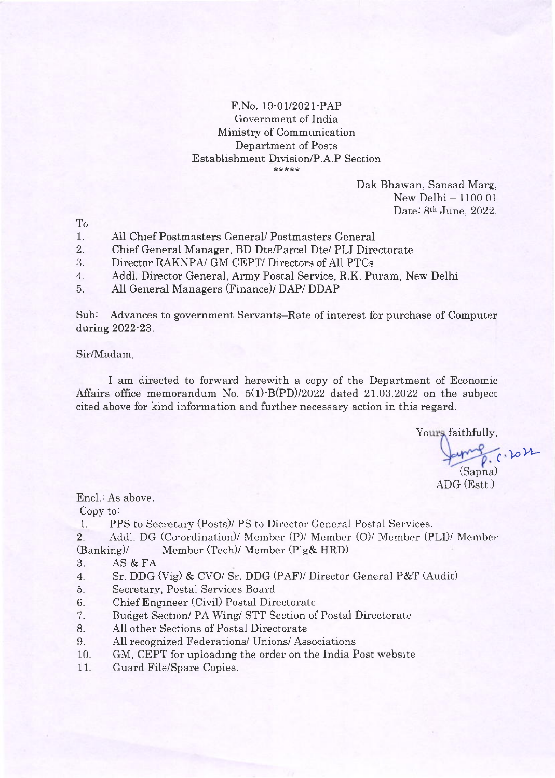# F.No. 19-01/2021'PAP Government of India Ministry of Communication Department of Posts Establishment Division/P.A.P Section

Dak Bhawan, Sansad Marg, New Delhi - 1100 01  $\text{Date: 8}$ <sup>th</sup>  $\text{June, } 2022.$ 

To

- 1. All Chief Postmasters General/ Postmasters General
- 2. Chief General Manager, BD DtelParcel Dte/ PLI Directorate
- $\mathcal{S}_{\cdot}$ Director RAKNPA/ GM CEPT/ Directors of AI1 PTCs
- 4. Add1. Director General, Army Postal Service, R.K. Puram, New Delhi
- 5. All General Managers (Finance)/ DAP/ DDAP

Sub: Advances to government Servants-Rate of interest for purchase of Computer during 2022-23.

## Sir/Madam,

I am directed to forward herewith a copy of the Department of Economic Affairs office memorandum No.  $5(1)$ -B(PD)/2022 dated 21.03.2022 on the subject cited above for kind information and further necessarv action in this regard.

Yours faithfully,

 $6.2022$ (Sapna)

ADG (Estt.)

Encl.: As above.

Copy to:

1. PPS to Secretary (Posts)/ PS to Director General Postal Services.

2. Addl. DG (Co-ordination)/ Member (P)/ Member (O)/ Member (PLI)/ Member (Banking)/ Member (Tech)/ Member (Plg& HRD)

- 3. AS &FA
- 4. Sr. DDG  $(Vig)$  & CVO/ Sr. DDG (PAF)/ Director General P&T (Audit)
- 5. Secretary, Postal Services Board
- 6. Chief Engineer (Civi1) Postal Directorate
- 7. Budget Section/ PA Wing/ STT Section of Postal Directorate
- 8. All other Sections of Postal Directorate
- 9. AIl recognized Federations/ Unions/ Associations
- 10. GM, CEPT for uploading the order on the India Post website
- 11. Guard File/Spare Copies.